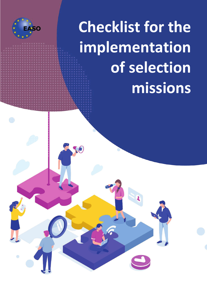

Ô

**Checklist for the implementation of selection missions**

 $\Theta$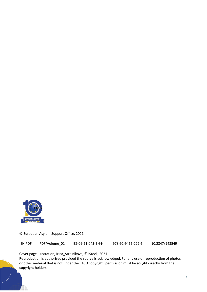

© European Asylum Support Office, 2021

EN PDF PDF/Volume\_01 BZ-06-21-043-EN-N 978-92-9465-222-5 10.2847/943549

Cover page illustration, Irina\_Strelnikova, © iStock, 2021

Reproduction is authorised provided the source is acknowledged. For any use or reproduction of photos or other material that is not under the EASO copyright, permission must be sought directly from the copyright holders.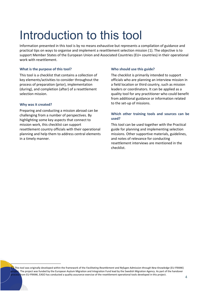## Introduction to this tool

Information presented in this tool is by no means exhaustive but represents a compilation of guidance and practical tips on ways to organise and implement a resettlement selection mission (1). The objective is to support Member States of the European Union and Associated Countries (EU+ countries) in their operational work with resettlement.

#### **What is the purpose of this tool?**

This tool is a checklist that contains a collection of key elements/activities to consider throughout the process of preparation (prior), implementation (during), and completion (after) of a resettlement selection mission.

#### **Why was it created?**

Preparing and conducting a mission abroad can be challenging from a number of perspectives. By highlighting some key aspects that connect to mission work, this checklist can support resettlement country officials with their operational planning and help them to address central elements in a timely manner.

#### **Who should use this guide?**

The checklist is primarily intended to support officials who are planning an interview mission in a field location or third country, such as mission leaders or coordinators. It can be applied as a quality tool for any practitioner who could benefit from additional guidance or information related to the set-up of missions.

### **Which other training tools and sources can be used?**

This tool can be used together with the Practical guide for planning and implementing selection missions. Other supportive materials, guidelines, and notes of relevance for conducting resettlement interviews are mentioned in the checklist.

( <sup>1</sup>) This tool was originally developed within the framework of the *Facilitating Resettlement and Refugee Admission through New Knowledge* (EU-FRANK) <sub>t</sub> The project was funded by the European Asylum Migration and Integration Fund lead by the Swedish Migration Agency. As part of the handover from EU-FRANK, EASO has conducted a quality assurance exercise of the resettlement operational tools developed in this project.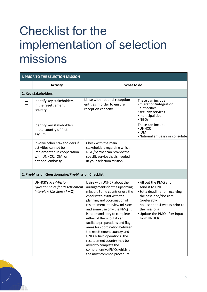# Checklist for the implementation of selection missions

| <b>I. PRIOR TO THE SELECTION MISSION</b> |                                                                                                                                |                                                                                                                                                                                                                                                                                                                                                                                                                                                                                                                                                             |                                                                                                                                                                                                                     |  |
|------------------------------------------|--------------------------------------------------------------------------------------------------------------------------------|-------------------------------------------------------------------------------------------------------------------------------------------------------------------------------------------------------------------------------------------------------------------------------------------------------------------------------------------------------------------------------------------------------------------------------------------------------------------------------------------------------------------------------------------------------------|---------------------------------------------------------------------------------------------------------------------------------------------------------------------------------------------------------------------|--|
|                                          | <b>Activity</b>                                                                                                                | What to do                                                                                                                                                                                                                                                                                                                                                                                                                                                                                                                                                  |                                                                                                                                                                                                                     |  |
|                                          | 1. Key stakeholders                                                                                                            |                                                                                                                                                                                                                                                                                                                                                                                                                                                                                                                                                             |                                                                                                                                                                                                                     |  |
|                                          | Identify key stakeholders<br>in the resettlement<br>country                                                                    | Liaise with national reception<br>entities in order to ensure<br>reception capacity.                                                                                                                                                                                                                                                                                                                                                                                                                                                                        | These can include:<br>· migration/integration<br>authorities<br>• security services<br>· municipalities<br>· NGOs                                                                                                   |  |
|                                          | Identify key stakeholders<br>in the country of first<br>asylum                                                                 |                                                                                                                                                                                                                                                                                                                                                                                                                                                                                                                                                             | These can include:<br>• UNHCR<br>$\cdot$ IOM<br>• National embassy or consulate                                                                                                                                     |  |
|                                          | Involve other stakeholders if<br>activities cannot be<br>implemented in cooperation<br>with UNHCR, IOM, or<br>national embassy | Check with the main<br>stakeholders regarding which<br>NGO/partner can provide the<br>specific service that is needed<br>in your selection mission.                                                                                                                                                                                                                                                                                                                                                                                                         |                                                                                                                                                                                                                     |  |
|                                          | 2. Pre-Mission Questionnaire/Pre-Mission Checklist                                                                             |                                                                                                                                                                                                                                                                                                                                                                                                                                                                                                                                                             |                                                                                                                                                                                                                     |  |
|                                          | <b>UNHCR's Pre-Mission</b><br>Questionnaire for Resettlement<br>Interview Missions (PMQ)                                       | Liaise with UNHCR about the<br>arrangements for the upcoming<br>mission. Some countries use the<br>checklist to assist with the<br>planning and coordination of<br>resettlement interview missions<br>and some use only the PMQ. It<br>is not mandatory to complete<br>either of them, but it can<br>facilitate preparations and flag<br>areas for coordination between<br>the resettlement country and<br>UNHCR field operations. The<br>resettlement country may be<br>asked to complete the<br>comprehensive PMQ, which is<br>the most common procedure. | • Fill out the PMQ and<br>send it to UNHCR<br>• Set a deadline for receiving<br>the caseload/dossiers<br>(preferably<br>no less than 4 weeks prior to<br>the mission)<br>• Update the PMQ after input<br>from UNHCR |  |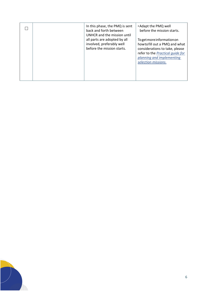|  | In this phase, the PMQ is sent<br>back and forth between<br>UNHCR and the mission until<br>all parts are adopted by all<br>involved, preferably well<br>before the mission starts. | • Adapt the PMQ well<br>before the mission starts.<br>Togetmoreinformationon<br>howtofill out a PMQ and what<br>considerations to take, please<br>refer to the Practical quide for<br>planning and implementing<br>selection missions. |
|--|------------------------------------------------------------------------------------------------------------------------------------------------------------------------------------|----------------------------------------------------------------------------------------------------------------------------------------------------------------------------------------------------------------------------------------|
|  |                                                                                                                                                                                    |                                                                                                                                                                                                                                        |

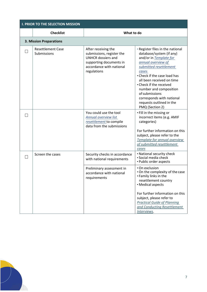| <b>I. PRIOR TO THE SELECTION MISSION</b> |                                                                                                                                                     |                                                                                                                                                                                                                                                                                                                                                                 |
|------------------------------------------|-----------------------------------------------------------------------------------------------------------------------------------------------------|-----------------------------------------------------------------------------------------------------------------------------------------------------------------------------------------------------------------------------------------------------------------------------------------------------------------------------------------------------------------|
| <b>Checklist</b><br>What to do           |                                                                                                                                                     |                                                                                                                                                                                                                                                                                                                                                                 |
| <b>3. Mission Preparations</b>           |                                                                                                                                                     |                                                                                                                                                                                                                                                                                                                                                                 |
| <b>Resettlement Case</b><br>Submissions  | After receiving the<br>submissions, register the<br><b>UNHCR dossiers and</b><br>supporting documents in<br>accordance with national<br>regulations | . Register files in the national<br>database/system (if any)<br>and/or in Template for<br>annual overview of<br>submitted resettlement<br>cases<br>• Check if the case load has<br>all been received on time<br>• Check if the received<br>number and composition<br>of submissions<br>corresponds with national<br>requests outlined in the<br>PMQ (Section 2) |
|                                          | You could use the tool<br>Annual overview list<br>resettlement to compile<br>data from the submissions                                              | • Fill in the missing or<br>incorrect items (e.g. AMIF<br>categories)<br>For further information on this<br>subject, please refer to the<br>Template for annual overview<br>of submitted resettlement<br>cases                                                                                                                                                  |
| Screen the cases                         | Security checks in accordance<br>with national requirements                                                                                         | • National security check<br>· Social media check<br>• Public order aspects                                                                                                                                                                                                                                                                                     |
|                                          | Preliminary assessment in<br>accordance with national<br>requirements                                                                               | • On exclusion<br>. On the complexity of the case<br>• Family links in the<br>resettlement country<br>• Medical aspects<br>For further information on this<br>subject, please refer to<br><b>Practical Guide of Planning</b><br>and Conducting Resettlement<br>Interviews.                                                                                      |

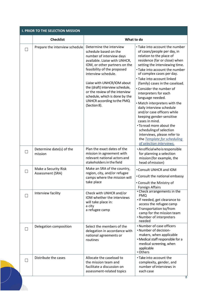| <b>I. PRIOR TO THE SELECTION MISSION</b> |                                          |                                                                                                                                                                                                                                                                                                                                                                                          |                                                                                                                                                                                                                                                                                                                                                                                                                                                                                                                                                                                                                                                                 |
|------------------------------------------|------------------------------------------|------------------------------------------------------------------------------------------------------------------------------------------------------------------------------------------------------------------------------------------------------------------------------------------------------------------------------------------------------------------------------------------|-----------------------------------------------------------------------------------------------------------------------------------------------------------------------------------------------------------------------------------------------------------------------------------------------------------------------------------------------------------------------------------------------------------------------------------------------------------------------------------------------------------------------------------------------------------------------------------------------------------------------------------------------------------------|
|                                          | <b>Checklist</b><br>What to do           |                                                                                                                                                                                                                                                                                                                                                                                          |                                                                                                                                                                                                                                                                                                                                                                                                                                                                                                                                                                                                                                                                 |
|                                          | Prepare the interview schedule           | Determine the interview<br>schedule based on the<br>number of interview days<br>available. Liaise with UNHCR,<br>IOM, or other partners on the<br>feasibility of the proposed<br>interview schedule.<br>Liaise with UNHCR/IOM about<br>the (draft) interview schedule,<br>or the review of the interview<br>schedule, which is done by the<br>UNHCR according to the PMQ<br>(Section 8). | • Take into account the number<br>of cases/people per day, in<br>relation to the place of<br>residence (far or close) when<br>setting the interviewing time.<br>• Take into account the number<br>of complex cases per day.<br>• Take into account linked<br>(family) cases in the caseload.<br>• Consider the number of<br>interpreters for each<br>language needed.<br>. Match interpreters with the<br>daily interview schedule<br>and/or case officers while<br>keeping gender-sensitive<br>cases in mind.<br>• To read more about the<br>scheduling of selection<br>interviews, please refer to<br>the Template for scheduling<br>of selection interviews. |
|                                          | Determine date(s) of the<br>mission      | Plan the exact dates of the<br>mission in agreement with<br>relevant national actors and<br>stakeholders in the field                                                                                                                                                                                                                                                                    | · An official who is responsible<br>for planning a selection<br>mission (for example, the<br>head of mission)                                                                                                                                                                                                                                                                                                                                                                                                                                                                                                                                                   |
|                                          | Make a Security Risk<br>Assessment (SRA) | Make an SRA of the country,<br>region, city, and/or refugee<br>camps where the mission will<br>take place                                                                                                                                                                                                                                                                                | • Consult UNHCR and IOM<br>• Consult the national embassy<br>• Consult the Ministry of<br><b>Foreign Affairs</b>                                                                                                                                                                                                                                                                                                                                                                                                                                                                                                                                                |
|                                          | Interview facility                       | Check with UNHCR and/or<br>IOM whether the interviews<br>will take place in:<br>a city<br>a refugee camp                                                                                                                                                                                                                                                                                 | • Check arrangements in the<br><b>PMQ</b><br>. If needed, get clearance to<br>access the refugee camp<br>• Transportation to/from<br>camp for the mission team<br>• Number of interpreters<br>needed                                                                                                                                                                                                                                                                                                                                                                                                                                                            |
|                                          | Delegation composition                   | Select the members of the<br>delegation in accordance with<br>national agreements or<br>routines                                                                                                                                                                                                                                                                                         | • Number of case officers<br>• Number of decision-<br>makers, when applicable<br>• Medical staff responsible for a<br>medical screening, when<br>applicable<br>• Others                                                                                                                                                                                                                                                                                                                                                                                                                                                                                         |
|                                          | Distribute the cases                     | Allocate the caseload to<br>the mission team and<br>facilitate a discussion on<br>assessment-related topics                                                                                                                                                                                                                                                                              | • Take into account the<br>complexity, gender, and<br>number of interviews in<br>each case                                                                                                                                                                                                                                                                                                                                                                                                                                                                                                                                                                      |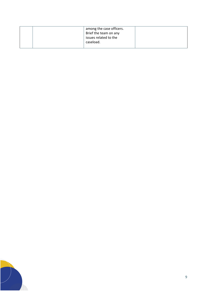|  | among the case officers.<br>Brief the team on any<br>issues related to the<br>caseload. |  |
|--|-----------------------------------------------------------------------------------------|--|
|  |                                                                                         |  |

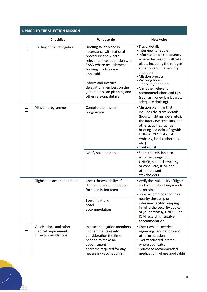|        | <b>I. PRIOR TO THE SELECTION MISSION</b>                             |                                                                                                                                                                                                                                                                                                      |                                                                                                                                                                                                                                                                                                                                                              |  |
|--------|----------------------------------------------------------------------|------------------------------------------------------------------------------------------------------------------------------------------------------------------------------------------------------------------------------------------------------------------------------------------------------|--------------------------------------------------------------------------------------------------------------------------------------------------------------------------------------------------------------------------------------------------------------------------------------------------------------------------------------------------------------|--|
|        | <b>Checklist</b>                                                     | What to do                                                                                                                                                                                                                                                                                           | How/who                                                                                                                                                                                                                                                                                                                                                      |  |
|        | Briefing of the delegation                                           | Briefing takes place in<br>accordance with national<br>procedure and where<br>relevant, in collaboration with<br><b>EASO</b> where resettlement<br>training modules are<br>applicable.<br>Inform and instruct<br>delegation members on the<br>general mission planning and<br>other relevant details | • Travel details<br>· Interview schedule<br>. Information on the country<br>where the mission will take<br>place, including the refugee<br>situation and the security<br>situation<br>• Mission process<br>• Working hours<br>• Finances / per diem<br>. Any other relevant<br>recommendations and tips<br>(such as money, bank cards,<br>adequate clothing) |  |
|        | Mission programme                                                    | Compile the mission<br>programme                                                                                                                                                                                                                                                                     | • Mission planning that<br>includes the travel details<br>(hours, flight numbers, etc.),<br>the interview timeslots, and<br>other activities such as<br>briefing and debriefing with<br>UNHCR, IOM, national<br>embassy, local authorities,<br>etc.)<br>• Contact list                                                                                       |  |
|        |                                                                      | Notify stakeholders                                                                                                                                                                                                                                                                                  | • Share the mission plan<br>with the delegation,<br>UNHCR, national embassy<br>or consulate, IOM, and<br>other relevant<br>stakeholders                                                                                                                                                                                                                      |  |
| $\Box$ | Flights and accommodation                                            | Check the availability of<br>flights and accommodation<br>for the mission team<br>Book flight and<br>hotel<br>accommodation                                                                                                                                                                          | · Verify the availability of flights<br>and confirm booking as early<br>as possible<br>• Book accommodation in or<br>nearby the camp or<br>interview facility, keeping<br>in mind the security advice<br>of your embassy, UNHCR, or<br>IOM regarding suitable<br>accommodation                                                                               |  |
|        | Vaccinations and other<br>medical requirements<br>or recommendations | Instruct delegation members<br>in due time (take into<br>consideration the time<br>needed to make an<br>appointment<br>and time required for any<br>necessary vaccination(s))                                                                                                                        | • Check what is needed<br>regarding vaccinations and<br>other precautions<br>· Get vaccinated in time,<br>where applicable<br>• purchase recommended<br>medication, where applicable                                                                                                                                                                         |  |

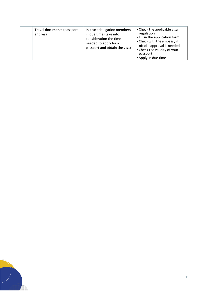|  | Travel documents (passport<br>and visa) | Instruct delegation members<br>in due time (take into<br>consideration the time<br>needed to apply for a<br>passport and obtain the visa) | • Check the applicable visa<br>regulation<br>• Fill in the application form<br>• Check with the embassy if<br>official approval is needed<br>• Check the validity of your<br>passport<br>• Apply in due time |
|--|-----------------------------------------|-------------------------------------------------------------------------------------------------------------------------------------------|--------------------------------------------------------------------------------------------------------------------------------------------------------------------------------------------------------------|
|--|-----------------------------------------|-------------------------------------------------------------------------------------------------------------------------------------------|--------------------------------------------------------------------------------------------------------------------------------------------------------------------------------------------------------------|

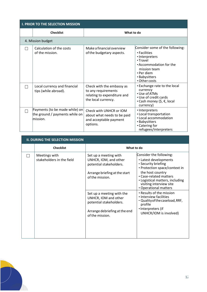| <b>I. PRIOR TO THE SELECTION MISSION</b> |                                                                              |                                                                                                        |                                                                                                                                                                          |  |
|------------------------------------------|------------------------------------------------------------------------------|--------------------------------------------------------------------------------------------------------|--------------------------------------------------------------------------------------------------------------------------------------------------------------------------|--|
|                                          | <b>Checklist</b>                                                             | What to do                                                                                             |                                                                                                                                                                          |  |
|                                          | 4. Mission budget                                                            |                                                                                                        |                                                                                                                                                                          |  |
|                                          | Calculation of the costs<br>of the mission.                                  | Make a financial overview<br>of the budgetary aspects.                                                 | Consider some of the following:<br>• Facilities<br>• Interpreters<br>• Travel<br>• Accommodation for the<br>mission team<br>• Per diem<br>• Babysitters<br>• Other costs |  |
|                                          | Local currency and financial<br>tips (while abroad).                         | Check with the embassy as<br>to any requirements<br>relating to expenditure and<br>the local currency. | • Exchange rate to the local<br>currency<br>• Use of ATMs<br>• Use of credit cards<br>•Cash money (\$, €, local<br>currency)                                             |  |
|                                          | Payments (to be made while) on<br>the ground / payments while on<br>mission. | Check with UNHCR or IOM<br>about what needs to be paid<br>and acceptable payment<br>options.           | · Interpreters<br>• Local transportation<br>• Local accommodation<br>• Babysitters<br>• Catering for<br>refugees/interpreters                                            |  |

| <b>II. DURING THE SELECTION MISSION</b>    |                                                                              |                                                                                                                                   |  |
|--------------------------------------------|------------------------------------------------------------------------------|-----------------------------------------------------------------------------------------------------------------------------------|--|
| <b>Checklist</b>                           | What to do                                                                   |                                                                                                                                   |  |
| Meetings with<br>stakeholders in the field | Set up a meeting with<br>UNHCR, IOM, and other<br>potential stakeholders.    | Consider the following:<br>• Latest developments<br>• Security briefing<br>• Protection space/context in                          |  |
|                                            | Arrange briefing at the start<br>of the mission.                             | the host country<br>• Case-related matters<br>• Logistical matters, including<br>visiting interview site<br>• Operational matters |  |
|                                            | Set up a meeting with the<br>UNHCR, IOM and other<br>potential stakeholders. | • Results of the mission<br>• Interview facilities<br>· Quality of the caseload, RRF,<br>profile                                  |  |
|                                            | Arrange debriefing at the end<br>of the mission.                             | · Interpreters (if<br>UNHCR/IOM is involved)                                                                                      |  |
|                                            |                                                                              |                                                                                                                                   |  |